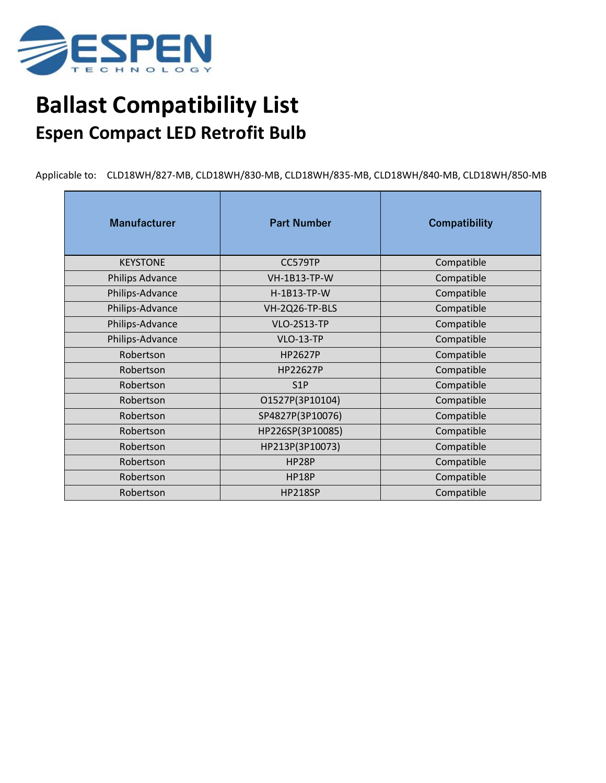

## **Ballast Compatibility List Espen Compact LED Retrofit Bulb**

Applicable to: CLD18WH/827-MB, CLD18WH/830-MB, CLD18WH/835-MB, CLD18WH/840-MB, CLD18WH/850-MB

| <b>Manufacturer</b>    | <b>Part Number</b>  | <b>Compatibility</b> |
|------------------------|---------------------|----------------------|
| <b>KEYSTONE</b>        | CC579TP             | Compatible           |
| <b>Philips Advance</b> | <b>VH-1B13-TP-W</b> | Compatible           |
| Philips-Advance        | H-1B13-TP-W         | Compatible           |
| Philips-Advance        | VH-2Q26-TP-BLS      | Compatible           |
| Philips-Advance        | <b>VLO-2S13-TP</b>  | Compatible           |
| Philips-Advance        | <b>VLO-13-TP</b>    | Compatible           |
| Robertson              | <b>HP2627P</b>      | Compatible           |
| Robertson              | HP22627P            | Compatible           |
| Robertson              | S <sub>1</sub> P    | Compatible           |
| Robertson              | O1527P(3P10104)     | Compatible           |
| Robertson              | SP4827P(3P10076)    | Compatible           |
| Robertson              | HP226SP(3P10085)    | Compatible           |
| Robertson              | HP213P(3P10073)     | Compatible           |
| Robertson              | HP28P               | Compatible           |
| Robertson              | <b>HP18P</b>        | Compatible           |
| Robertson              | <b>HP218SP</b>      | Compatible           |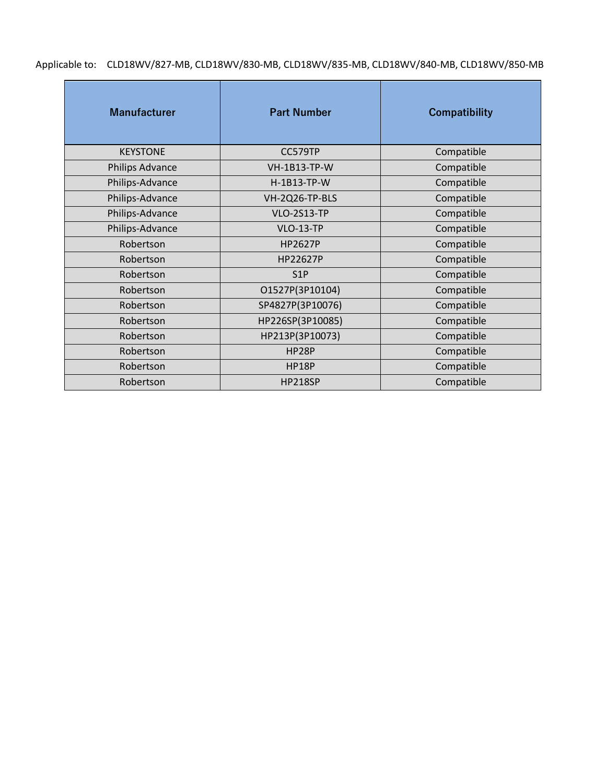Applicable to: CLD18WV/827-MB, CLD18WV/830-MB, CLD18WV/835-MB, CLD18WV/840-MB, CLD18WV/850-MB

| <b>Manufacturer</b>    | <b>Part Number</b>  | <b>Compatibility</b> |
|------------------------|---------------------|----------------------|
| <b>KEYSTONE</b>        | CC579TP             | Compatible           |
| <b>Philips Advance</b> | <b>VH-1B13-TP-W</b> | Compatible           |
| Philips-Advance        | H-1B13-TP-W         | Compatible           |
| Philips-Advance        | VH-2Q26-TP-BLS      | Compatible           |
| Philips-Advance        | <b>VLO-2S13-TP</b>  | Compatible           |
| Philips-Advance        | <b>VLO-13-TP</b>    | Compatible           |
| Robertson              | HP2627P             | Compatible           |
| Robertson              | HP22627P            | Compatible           |
| Robertson              | S <sub>1</sub> P    | Compatible           |
| Robertson              | O1527P(3P10104)     | Compatible           |
| Robertson              | SP4827P(3P10076)    | Compatible           |
| Robertson              | HP226SP(3P10085)    | Compatible           |
| Robertson              | HP213P(3P10073)     | Compatible           |
| Robertson              | HP28P               | Compatible           |
| Robertson              | <b>HP18P</b>        | Compatible           |
| Robertson              | <b>HP218SP</b>      | Compatible           |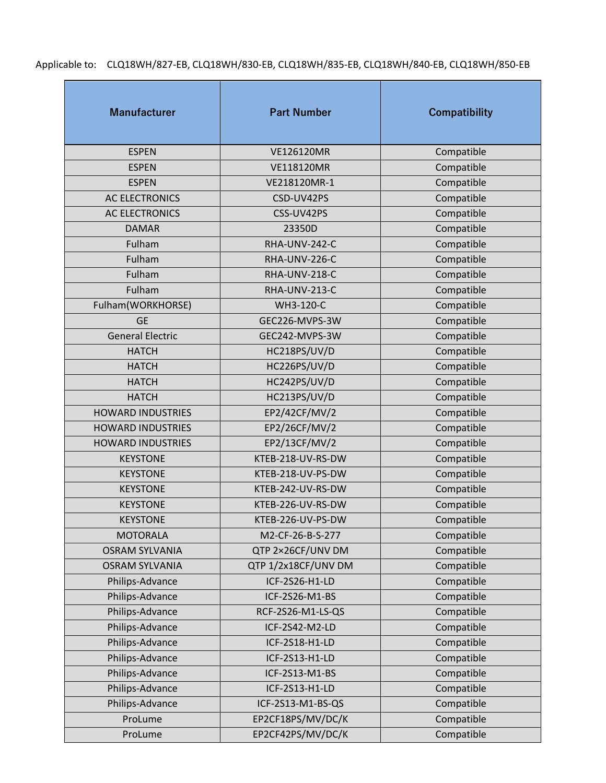Applicable to: CLQ18WH/827-EB, CLQ18WH/830-EB, CLQ18WH/835-EB, CLQ18WH/840-EB, CLQ18WH/850-EB

| <b>Manufacturer</b>      | <b>Part Number</b>  | <b>Compatibility</b> |
|--------------------------|---------------------|----------------------|
| <b>ESPEN</b>             | VE126120MR          | Compatible           |
| <b>ESPEN</b>             | <b>VE118120MR</b>   | Compatible           |
| <b>ESPEN</b>             | VE218120MR-1        | Compatible           |
| <b>AC ELECTRONICS</b>    | CSD-UV42PS          | Compatible           |
| <b>AC ELECTRONICS</b>    | CSS-UV42PS          | Compatible           |
| <b>DAMAR</b>             | 23350D              | Compatible           |
| Fulham                   | RHA-UNV-242-C       | Compatible           |
| Fulham                   | RHA-UNV-226-C       | Compatible           |
| Fulham                   | RHA-UNV-218-C       | Compatible           |
| Fulham                   | RHA-UNV-213-C       | Compatible           |
| Fulham(WORKHORSE)        | WH3-120-C           | Compatible           |
| <b>GE</b>                | GEC226-MVPS-3W      | Compatible           |
| <b>General Electric</b>  | GEC242-MVPS-3W      | Compatible           |
| <b>HATCH</b>             | HC218PS/UV/D        | Compatible           |
| <b>HATCH</b>             | HC226PS/UV/D        | Compatible           |
| <b>HATCH</b>             | HC242PS/UV/D        | Compatible           |
| <b>HATCH</b>             | HC213PS/UV/D        | Compatible           |
| <b>HOWARD INDUSTRIES</b> | EP2/42CF/MV/2       | Compatible           |
| <b>HOWARD INDUSTRIES</b> | EP2/26CF/MV/2       | Compatible           |
| <b>HOWARD INDUSTRIES</b> | EP2/13CF/MV/2       | Compatible           |
| <b>KEYSTONE</b>          | KTEB-218-UV-RS-DW   | Compatible           |
| <b>KEYSTONE</b>          | KTEB-218-UV-PS-DW   | Compatible           |
| <b>KEYSTONE</b>          | KTEB-242-UV-RS-DW   | Compatible           |
| <b>KEYSTONE</b>          | KTEB-226-UV-RS-DW   | Compatible           |
| <b>KEYSTONE</b>          | KTEB-226-UV-PS-DW   | Compatible           |
| <b>MOTORALA</b>          | M2-CF-26-B-S-277    | Compatible           |
| <b>OSRAM SYLVANIA</b>    | QTP 2×26CF/UNV DM   | Compatible           |
| <b>OSRAM SYLVANIA</b>    | QTP 1/2x18CF/UNV DM | Compatible           |
| Philips-Advance          | ICF-2S26-H1-LD      | Compatible           |
| Philips-Advance          | ICF-2S26-M1-BS      | Compatible           |
| Philips-Advance          | RCF-2S26-M1-LS-QS   | Compatible           |
| Philips-Advance          | ICF-2S42-M2-LD      | Compatible           |
| Philips-Advance          | ICF-2S18-H1-LD      | Compatible           |
| Philips-Advance          | ICF-2S13-H1-LD      | Compatible           |
| Philips-Advance          | ICF-2S13-M1-BS      | Compatible           |
| Philips-Advance          | ICF-2S13-H1-LD      | Compatible           |
| Philips-Advance          | ICF-2S13-M1-BS-QS   | Compatible           |
| ProLume                  | EP2CF18PS/MV/DC/K   | Compatible           |
| ProLume                  | EP2CF42PS/MV/DC/K   | Compatible           |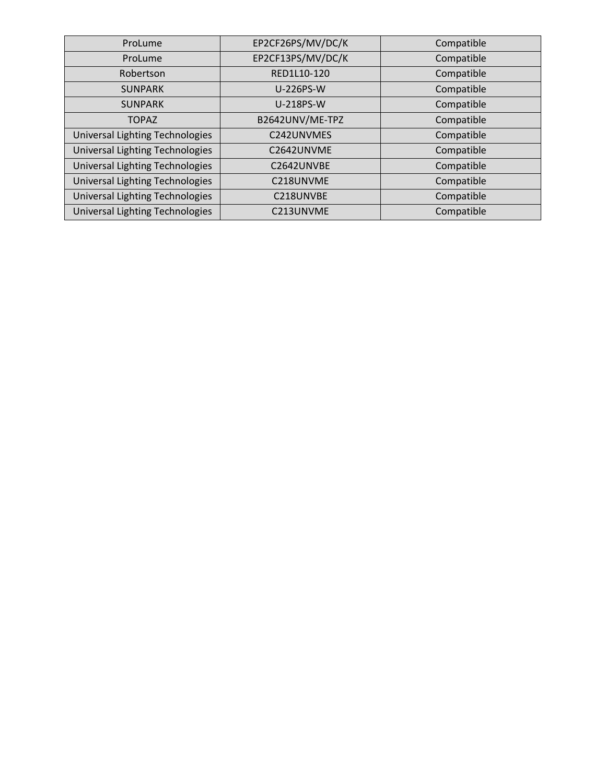| ProLume                         | EP2CF26PS/MV/DC/K | Compatible |
|---------------------------------|-------------------|------------|
| ProLume                         | EP2CF13PS/MV/DC/K | Compatible |
| Robertson                       | RED1L10-120       | Compatible |
| <b>SUNPARK</b>                  | <b>U-226PS-W</b>  | Compatible |
| <b>SUNPARK</b>                  | U-218PS-W         | Compatible |
| <b>TOPAZ</b>                    | B2642UNV/ME-TPZ   | Compatible |
| Universal Lighting Technologies | C242UNVMES        | Compatible |
| Universal Lighting Technologies | C2642UNVME        | Compatible |
| Universal Lighting Technologies | C2642UNVBE        | Compatible |
| Universal Lighting Technologies | C218UNVME         | Compatible |
| Universal Lighting Technologies | C218UNVBE         | Compatible |
| Universal Lighting Technologies | C213UNVME         | Compatible |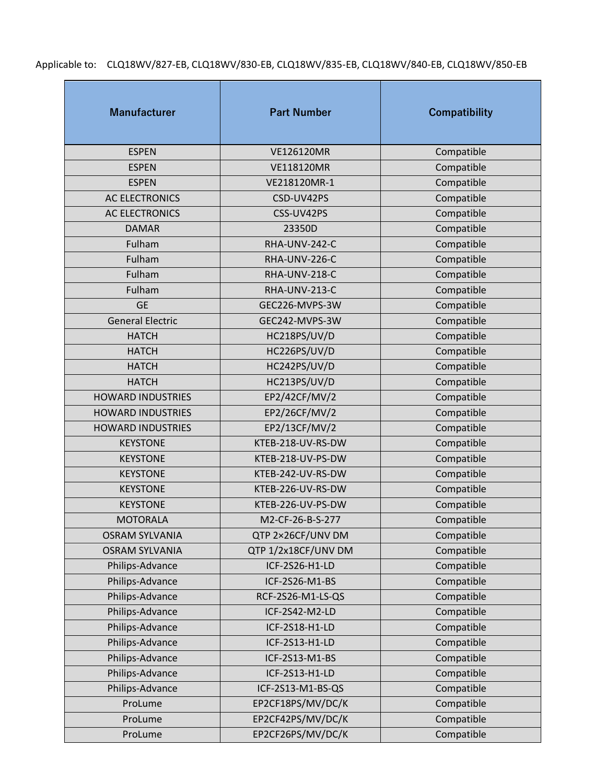Applicable to: CLQ18WV/827-EB, CLQ18WV/830-EB, CLQ18WV/835-EB, CLQ18WV/840-EB, CLQ18WV/850-EB

| <b>Manufacturer</b>      | <b>Part Number</b>  | <b>Compatibility</b> |
|--------------------------|---------------------|----------------------|
| <b>ESPEN</b>             | VE126120MR          | Compatible           |
| <b>ESPEN</b>             | <b>VE118120MR</b>   | Compatible           |
| <b>ESPEN</b>             | VE218120MR-1        | Compatible           |
| <b>AC ELECTRONICS</b>    | CSD-UV42PS          | Compatible           |
| <b>AC ELECTRONICS</b>    | CSS-UV42PS          | Compatible           |
| <b>DAMAR</b>             | 23350D              | Compatible           |
| Fulham                   | RHA-UNV-242-C       | Compatible           |
| Fulham                   | RHA-UNV-226-C       | Compatible           |
| Fulham                   | RHA-UNV-218-C       | Compatible           |
| Fulham                   | RHA-UNV-213-C       | Compatible           |
| <b>GE</b>                | GEC226-MVPS-3W      | Compatible           |
| <b>General Electric</b>  | GEC242-MVPS-3W      | Compatible           |
| <b>HATCH</b>             | HC218PS/UV/D        | Compatible           |
| <b>HATCH</b>             | HC226PS/UV/D        | Compatible           |
| <b>HATCH</b>             | HC242PS/UV/D        | Compatible           |
| <b>HATCH</b>             | HC213PS/UV/D        | Compatible           |
| <b>HOWARD INDUSTRIES</b> | EP2/42CF/MV/2       | Compatible           |
| <b>HOWARD INDUSTRIES</b> | EP2/26CF/MV/2       | Compatible           |
| <b>HOWARD INDUSTRIES</b> | EP2/13CF/MV/2       | Compatible           |
| <b>KEYSTONE</b>          | KTEB-218-UV-RS-DW   | Compatible           |
| <b>KEYSTONE</b>          | KTEB-218-UV-PS-DW   | Compatible           |
| <b>KEYSTONE</b>          | KTEB-242-UV-RS-DW   | Compatible           |
| <b>KEYSTONE</b>          | KTEB-226-UV-RS-DW   | Compatible           |
| <b>KEYSTONE</b>          | KTEB-226-UV-PS-DW   | Compatible           |
| <b>MOTORALA</b>          | M2-CF-26-B-S-277    | Compatible           |
| <b>OSRAM SYLVANIA</b>    | QTP 2×26CF/UNV DM   | Compatible           |
| <b>OSRAM SYLVANIA</b>    | QTP 1/2x18CF/UNV DM | Compatible           |
| Philips-Advance          | ICF-2S26-H1-LD      | Compatible           |
| Philips-Advance          | ICF-2S26-M1-BS      | Compatible           |
| Philips-Advance          | RCF-2S26-M1-LS-QS   | Compatible           |
| Philips-Advance          | ICF-2S42-M2-LD      | Compatible           |
| Philips-Advance          | ICF-2S18-H1-LD      | Compatible           |
| Philips-Advance          | ICF-2S13-H1-LD      | Compatible           |
| Philips-Advance          | ICF-2S13-M1-BS      | Compatible           |
| Philips-Advance          | ICF-2S13-H1-LD      | Compatible           |
| Philips-Advance          | ICF-2S13-M1-BS-QS   | Compatible           |
| ProLume                  | EP2CF18PS/MV/DC/K   | Compatible           |
| ProLume                  | EP2CF42PS/MV/DC/K   | Compatible           |
| ProLume                  | EP2CF26PS/MV/DC/K   | Compatible           |